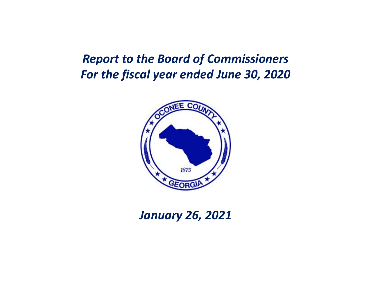### *Report to the Board of Commissioners For the fiscal year ended June 30, 2020*



*January 26, 2021*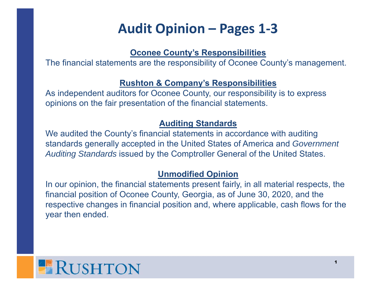# **Audit Opinion – Pages 1‐3**

#### **Oconee County's Responsibilities**

The financial statements are the responsibility of Oconee County's management.

#### **Rushton & Company's Responsibilities**

As independent auditors for Oconee County, our responsibility is to express opinions on the fair presentation of the financial statements.

#### **Auditing Standards**

We audited the County's financial statements in accordance with auditing standards generally accepted in the United States of America and *Government Auditing Standards* issued by the Comptroller General of the United States.

#### **Unmodified Opinion**

In our opinion, the financial statements present fairly, in all material respects, the financial position of Oconee County, Georgia, as of June 30, 2020, and the respective changes in financial position and, where applicable, cash flows for the year then ended.

# **ERUSHTON**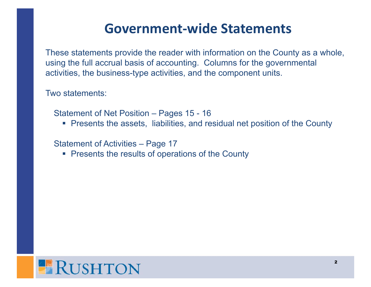## **Government‐wide Statements**

These statements provide the reader with information on the County as a whole, using the full accrual basis of accounting. Columns for the governmental activities, the business-type activities, and the component units.

Two statements:

Statement of Net Position – Pages 15 - 16

Presents the assets, liabilities, and residual net position of the County

Statement of Activities – Page 17

**Presents the results of operations of the County** 

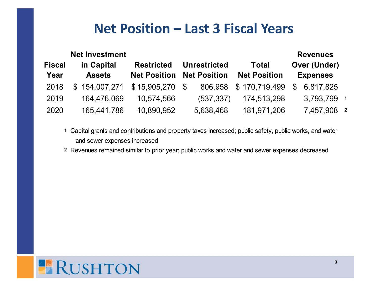## **Net Position – Last 3 Fiscal Years**

|               | <b>Net Investment</b> |                     |    |                     |                     |              | <b>Revenues</b>     |                         |
|---------------|-----------------------|---------------------|----|---------------------|---------------------|--------------|---------------------|-------------------------|
| <b>Fiscal</b> | in Capital            | <b>Restricted</b>   |    | <b>Unrestricted</b> | <b>Total</b>        |              | <b>Over (Under)</b> |                         |
| Year          | <b>Assets</b>         | <b>Net Position</b> |    | <b>Net Position</b> | <b>Net Position</b> |              | <b>Expenses</b>     |                         |
| 2018          | \$154,007,271         | \$15,905,270        | -S | 806,958             | \$170,719,499       | $\mathbb{S}$ | 6,817,825           |                         |
| 2019          | 164,476,069           | 10,574,566          |    | (537, 337)          | 174,513,298         |              | 3,793,799           | $\overline{\mathbf{1}}$ |
| 2020          | 165,441,786           | 10,890,952          |    | 5,638,468           | 181,971,206         |              | 7,457,908 2         |                         |

- **1** Capital grants and contributions and property taxes increased; public safety, public works, and water and sewer expenses increased
- **2** Revenues remained similar to prior year; public works and water and sewer expenses decreased

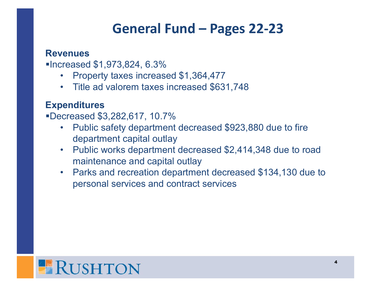## **General Fund – Pages 22‐23**

### **Revenues**

■Increased \$1,973,824, 6.3%

- $\bullet$ Property taxes increased \$1,364,477
- Title ad valorem taxes increased \$631,748

### **Expenditures**

Decreased \$3,282,617, 10.7%

- $\bullet$  Public safety department decreased \$923,880 due to fire department capital outlay
- $\bullet$  Public works department decreased \$2,414,348 due to road maintenance and capital outlay
- $\bullet$  Parks and recreation department decreased \$134,130 due to personal services and contract services

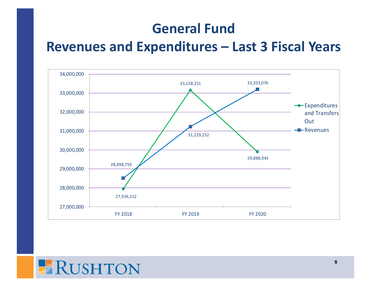## **General Fund**

### **Revenues and Expenditures – Last 3 Fiscal Years**



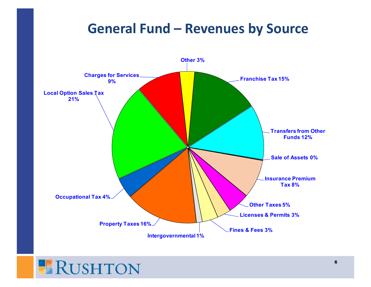## **General Fund – Revenues by Source**



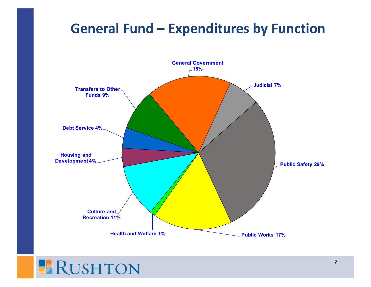## **General Fund – Expenditures by Function**



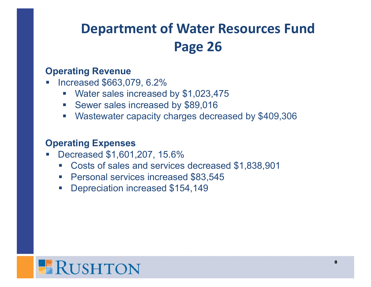# **Department of Water Resources Fund Page 26**

### **Operating Revenue**

- Increased \$663,079, 6.2%
	- Water sales increased by \$1,023,475
	- $\mathcal{L}_{\mathcal{A}}$ Sewer sales increased by \$89,016
	- $\mathcal{L}_{\mathcal{A}}$ Wastewater capacity charges decreased by \$409,306

### **Operating Expenses**

- Decreased \$1,601,207, 15.6%
	- Costs of sales and services decreased \$1,838,901
	- **Personal services increased \$83,545**
	- Depreciation increased \$154,149

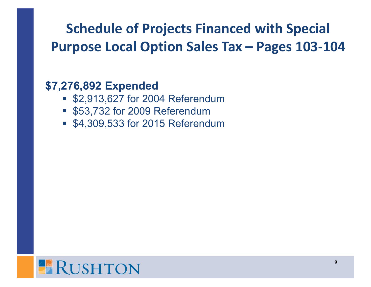# **Schedule of Projects Financed with Special Purpose Local Option Sales Tax – Pages 103‐104**

### **\$7,276,892 Expended**

- \$2,913,627 for 2004 Referendum
- \$53,732 for 2009 Referendum
- \$4,309,533 for 2015 Referendum

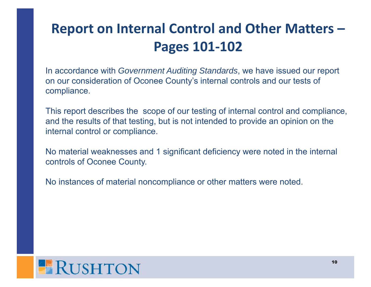# **Report on Internal Control and Other Matters – Pages 101‐102**

In accordance with *Government Auditing Standards*, we have issued our report on our consideration of Oconee County's internal controls and our tests of compliance.

This report describes the scope of our testing of internal control and compliance, and the results of that testing, but is not intended to provide an opinion on the internal control or compliance.

No material weaknesses and 1 significant deficiency were noted in the internal controls of Oconee County.

No instances of material noncompliance or other matters were noted.

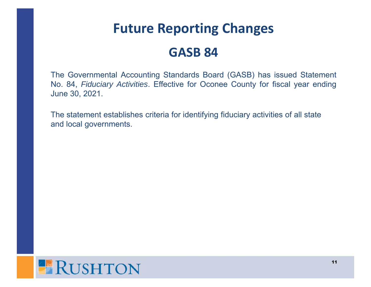# **Future Reporting Changes GASB 84**

The Governmental Accounting Standards Board (GASB) has issued Statement No. 84, *Fiduciary Activities*. Effective for Oconee County for fiscal year ending June 30, 2021.

The statement establishes criteria for identifying fiduciary activities of all state and local governments.

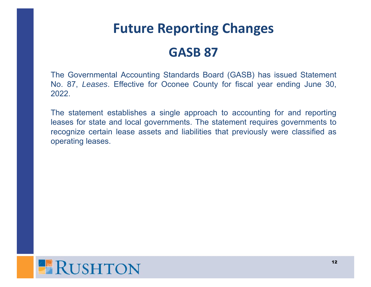# **Future Reporting Changes GASB 87**

The Governmental Accounting Standards Board (GASB) has issued Statement No. 87, *Leases*. Effective for Oconee County for fiscal year ending June 30, 2022.

The statement establishes <sup>a</sup> single approach to accounting for and reporting leases for state and local governments. The statement requires governments to recognize certain lease assets and liabilities that previously were classified as operating leases.